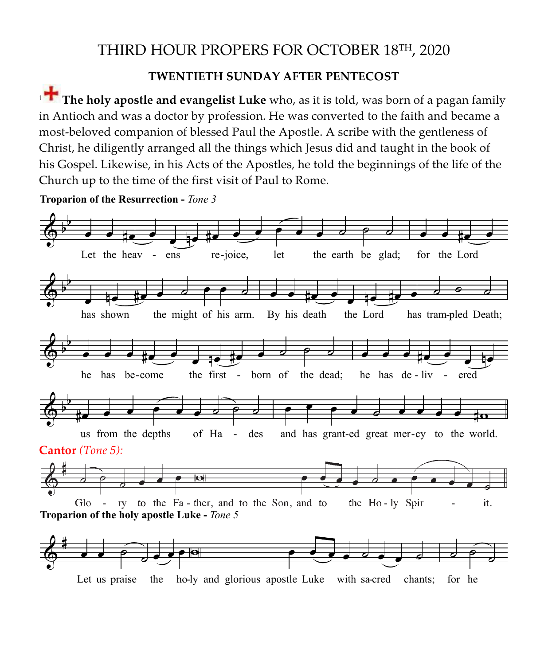## THIRD HOUR PROPERS FOR OCTOBER 18TH, 2020 **Divine Liturgy, October 18, 2020**

## **TWENTIETH SUNDAY AFTER PENTECOST**

<sup>1</sup> **The holy apostle and evangelist Luke** who, as it is told, was born of a pagan family **The holy apostle and evangelist Luke** who, as it is told, was born of a pagan family in Antioch in Antioch and was a doctor by profession. He was converted to the faith and became a scribe with the gentleness of Christ, he did the gentleness of Christ, he did the gentleness of Christ, he did the gentleness of Christ, most-beloved companion of blessed Paul the Apostle. A scribe with the gentleness of Christ, he diligently arranged all the things which Jesus did and taught in the book of his Gospel. Likewise, in his Acts of the Apostles, he told the beginnings of the life of the Church up to the time of the first visit of Paul to Rome.  $\frac{1}{2}$  and he was a doctor by profession. He was converted to the factor belower and became a most became a most became a most became a most became a most became a most became a most became a most became a most beloved **Exangelist Luke** who, as it is told, **v** a doctor by profession. He was converted to the fa

**Troparion of the Resurrection -** *Tone 3* 

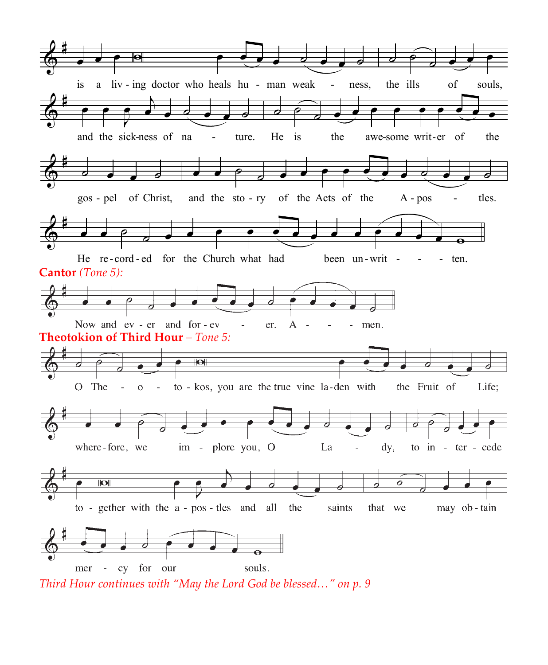

Third Hour continues with "May the Lord God be blessed…" on p. 9